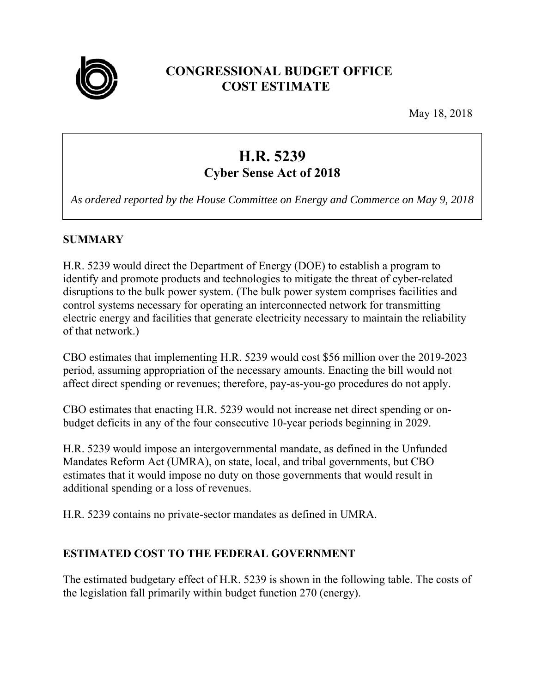

# **CONGRESSIONAL BUDGET OFFICE COST ESTIMATE**

May 18, 2018

# **H.R. 5239 Cyber Sense Act of 2018**

*As ordered reported by the House Committee on Energy and Commerce on May 9, 2018* 

## **SUMMARY**

H.R. 5239 would direct the Department of Energy (DOE) to establish a program to identify and promote products and technologies to mitigate the threat of cyber-related disruptions to the bulk power system. (The bulk power system comprises facilities and control systems necessary for operating an interconnected network for transmitting electric energy and facilities that generate electricity necessary to maintain the reliability of that network.)

CBO estimates that implementing H.R. 5239 would cost \$56 million over the 2019-2023 period, assuming appropriation of the necessary amounts. Enacting the bill would not affect direct spending or revenues; therefore, pay-as-you-go procedures do not apply.

CBO estimates that enacting H.R. 5239 would not increase net direct spending or onbudget deficits in any of the four consecutive 10-year periods beginning in 2029.

H.R. 5239 would impose an intergovernmental mandate, as defined in the Unfunded Mandates Reform Act (UMRA), on state, local, and tribal governments, but CBO estimates that it would impose no duty on those governments that would result in additional spending or a loss of revenues.

H.R. 5239 contains no private-sector mandates as defined in UMRA.

#### **ESTIMATED COST TO THE FEDERAL GOVERNMENT**

The estimated budgetary effect of H.R. 5239 is shown in the following table. The costs of the legislation fall primarily within budget function 270 (energy).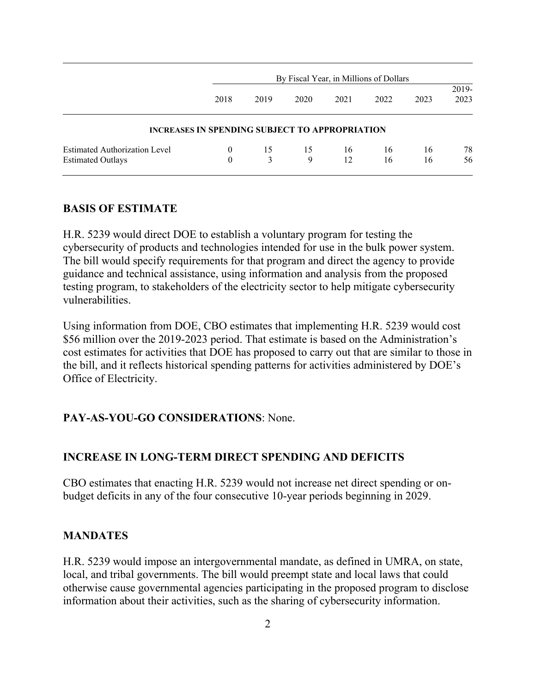| By Fiscal Year, in Millions of Dollars |         |                   |          |          |                                                       |               |
|----------------------------------------|---------|-------------------|----------|----------|-------------------------------------------------------|---------------|
| 2018                                   | 2019    | 2020              | 2021     | 2022     | 2023                                                  | 2019-<br>2023 |
|                                        |         |                   |          |          |                                                       |               |
| $\theta$<br>$\theta$                   | 15<br>3 | 15<br>$\mathbf Q$ | 16<br>12 | 16<br>16 | 16<br>16                                              | 78<br>56      |
|                                        |         |                   |          |          | <b>INCREASES IN SPENDING SUBJECT TO APPROPRIATION</b> |               |

#### **BASIS OF ESTIMATE**

H.R. 5239 would direct DOE to establish a voluntary program for testing the cybersecurity of products and technologies intended for use in the bulk power system. The bill would specify requirements for that program and direct the agency to provide guidance and technical assistance, using information and analysis from the proposed testing program, to stakeholders of the electricity sector to help mitigate cybersecurity vulnerabilities.

Using information from DOE, CBO estimates that implementing H.R. 5239 would cost \$56 million over the 2019-2023 period. That estimate is based on the Administration's cost estimates for activities that DOE has proposed to carry out that are similar to those in the bill, and it reflects historical spending patterns for activities administered by DOE's Office of Electricity.

#### **PAY-AS-YOU-GO CONSIDERATIONS**: None.

#### **INCREASE IN LONG-TERM DIRECT SPENDING AND DEFICITS**

CBO estimates that enacting H.R. 5239 would not increase net direct spending or onbudget deficits in any of the four consecutive 10-year periods beginning in 2029.

#### **MANDATES**

H.R. 5239 would impose an intergovernmental mandate, as defined in UMRA, on state, local, and tribal governments. The bill would preempt state and local laws that could otherwise cause governmental agencies participating in the proposed program to disclose information about their activities, such as the sharing of cybersecurity information.